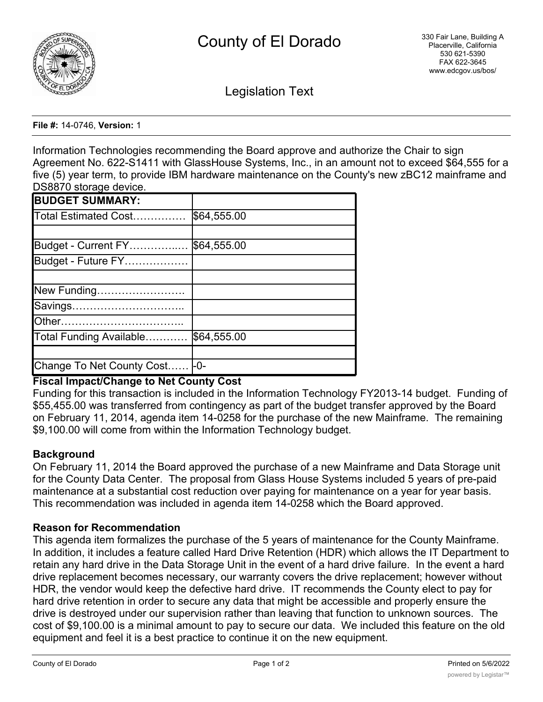

Legislation Text

**File #:** 14-0746, **Version:** 1

Information Technologies recommending the Board approve and authorize the Chair to sign Agreement No. 622-S1411 with GlassHouse Systems, Inc., in an amount not to exceed \$64,555 for a five (5) year term, to provide IBM hardware maintenance on the County's new zBC12 mainframe and DS8870 storage device

| \$64,555.00                   |
|-------------------------------|
|                               |
| \$64,555.00                   |
|                               |
|                               |
|                               |
|                               |
|                               |
| \$64,555.00                   |
|                               |
| Change To Net County Cost -0- |
|                               |

# **Fiscal Impact/Change to Net County Cost**

Funding for this transaction is included in the Information Technology FY2013-14 budget. Funding of \$55,455.00 was transferred from contingency as part of the budget transfer approved by the Board on February 11, 2014, agenda item 14-0258 for the purchase of the new Mainframe. The remaining \$9,100.00 will come from within the Information Technology budget.

# **Background**

On February 11, 2014 the Board approved the purchase of a new Mainframe and Data Storage unit for the County Data Center. The proposal from Glass House Systems included 5 years of pre-paid maintenance at a substantial cost reduction over paying for maintenance on a year for year basis. This recommendation was included in agenda item 14-0258 which the Board approved.

# **Reason for Recommendation**

This agenda item formalizes the purchase of the 5 years of maintenance for the County Mainframe. In addition, it includes a feature called Hard Drive Retention (HDR) which allows the IT Department to retain any hard drive in the Data Storage Unit in the event of a hard drive failure. In the event a hard drive replacement becomes necessary, our warranty covers the drive replacement; however without HDR, the vendor would keep the defective hard drive. IT recommends the County elect to pay for hard drive retention in order to secure any data that might be accessible and properly ensure the drive is destroyed under our supervision rather than leaving that function to unknown sources. The cost of \$9,100.00 is a minimal amount to pay to secure our data. We included this feature on the old equipment and feel it is a best practice to continue it on the new equipment.